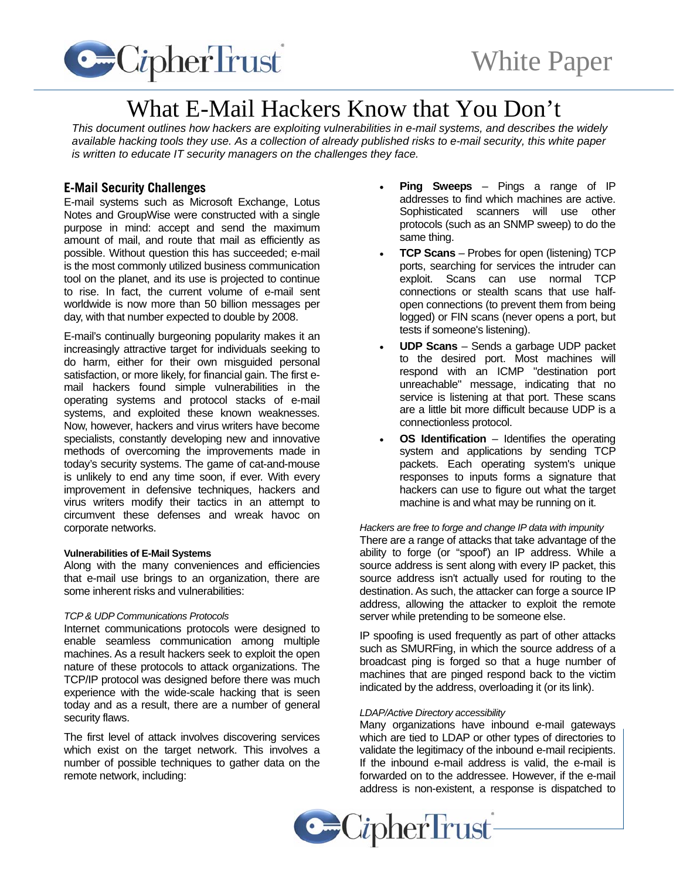

# What E-Mail Hackers Know that You Don't

*This document outlines how hackers are exploiting vulnerabilities in e-mail systems, and describes the widely available hacking tools they use. As a collection of already published risks to e-mail security, this white paper is written to educate IT security managers on the challenges they face.* 

# **E-Mail Security Challenges**

E-mail systems such as Microsoft Exchange, Lotus Notes and GroupWise were constructed with a single purpose in mind: accept and send the maximum amount of mail, and route that mail as efficiently as possible. Without question this has succeeded; e-mail is the most commonly utilized business communication tool on the planet, and its use is projected to continue to rise. In fact, the current volume of e-mail sent worldwide is now more than 50 billion messages per day, with that number expected to double by 2008.

E-mail's continually burgeoning popularity makes it an increasingly attractive target for individuals seeking to do harm, either for their own misguided personal satisfaction, or more likely, for financial gain. The first email hackers found simple vulnerabilities in the operating systems and protocol stacks of e-mail systems, and exploited these known weaknesses. Now, however, hackers and virus writers have become specialists, constantly developing new and innovative methods of overcoming the improvements made in today's security systems. The game of cat-and-mouse is unlikely to end any time soon, if ever. With every improvement in defensive techniques, hackers and virus writers modify their tactics in an attempt to circumvent these defenses and wreak havoc on corporate networks.

# **Vulnerabilities of E-Mail Systems**

Along with the many conveniences and efficiencies that e-mail use brings to an organization, there are some inherent risks and vulnerabilities:

# *TCP & UDP Communications Protocols*

Internet communications protocols were designed to enable seamless communication among multiple machines. As a result hackers seek to exploit the open nature of these protocols to attack organizations. The TCP/IP protocol was designed before there was much experience with the wide-scale hacking that is seen today and as a result, there are a number of general security flaws.

The first level of attack involves discovering services which exist on the target network. This involves a number of possible techniques to gather data on the remote network, including:

- **Ping Sweeps** Pings a range of IP addresses to find which machines are active. Sophisticated scanners will use other protocols (such as an SNMP sweep) to do the same thing.
- **TCP Scans** Probes for open (listening) TCP ports, searching for services the intruder can exploit. Scans can use normal TCP connections or stealth scans that use halfopen connections (to prevent them from being logged) or FIN scans (never opens a port, but tests if someone's listening).
- **UDP Scans** Sends a garbage UDP packet to the desired port. Most machines will respond with an ICMP "destination port unreachable" message, indicating that no service is listening at that port. These scans are a little bit more difficult because UDP is a connectionless protocol.
- **OS Identification** Identifies the operating system and applications by sending TCP packets. Each operating system's unique responses to inputs forms a signature that hackers can use to figure out what the target machine is and what may be running on it.

# *Hackers are free to forge and change IP data with impunity*

There are a range of attacks that take advantage of the ability to forge (or "spoof') an IP address. While a source address is sent along with every IP packet, this source address isn't actually used for routing to the destination. As such, the attacker can forge a source IP address, allowing the attacker to exploit the remote server while pretending to be someone else.

IP spoofing is used frequently as part of other attacks such as SMURFing, in which the source address of a broadcast ping is forged so that a huge number of machines that are pinged respond back to the victim indicated by the address, overloading it (or its link).

#### *LDAP/Active Directory accessibility*

Many organizations have inbound e-mail gateways which are tied to LDAP or other types of directories to validate the legitimacy of the inbound e-mail recipients. If the inbound e-mail address is valid, the e-mail is forwarded on to the addressee. However, if the e-mail address is non-existent, a response is dispatched to

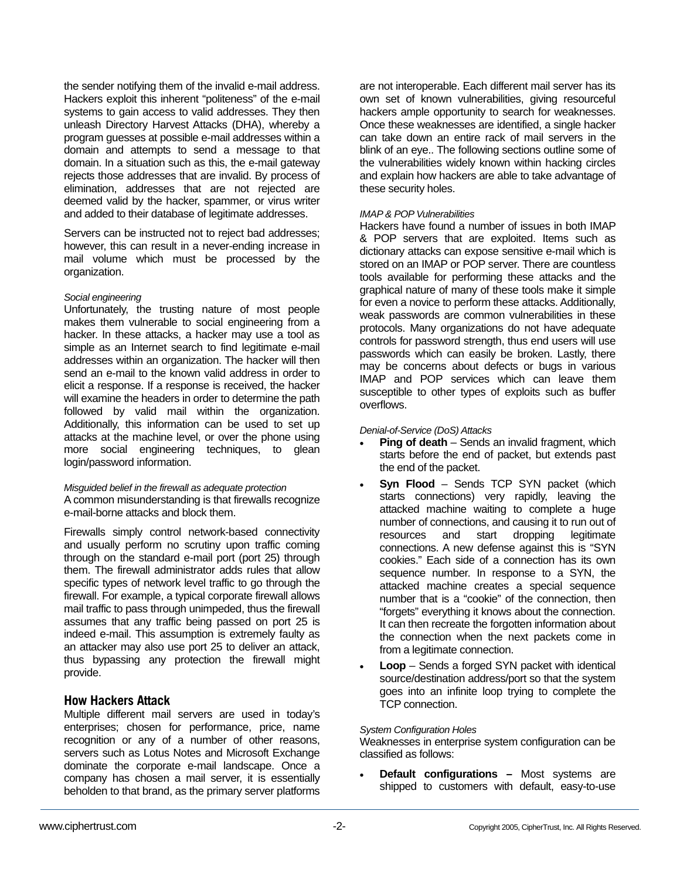the sender notifying them of the invalid e-mail address. Hackers exploit this inherent "politeness" of the e-mail systems to gain access to valid addresses. They then unleash Directory Harvest Attacks (DHA), whereby a program guesses at possible e-mail addresses within a domain and attempts to send a message to that domain. In a situation such as this, the e-mail gateway rejects those addresses that are invalid. By process of elimination, addresses that are not rejected are deemed valid by the hacker, spammer, or virus writer and added to their database of legitimate addresses.

Servers can be instructed not to reject bad addresses; however, this can result in a never-ending increase in mail volume which must be processed by the organization.

# *Social engineering*

Unfortunately, the trusting nature of most people makes them vulnerable to social engineering from a hacker. In these attacks, a hacker may use a tool as simple as an Internet search to find legitimate e-mail addresses within an organization. The hacker will then send an e-mail to the known valid address in order to elicit a response. If a response is received, the hacker will examine the headers in order to determine the path followed by valid mail within the organization. Additionally, this information can be used to set up attacks at the machine level, or over the phone using more social engineering techniques, to glean login/password information.

# *Misguided belief in the firewall as adequate protection*

A common misunderstanding is that firewalls recognize e-mail-borne attacks and block them.

Firewalls simply control network-based connectivity and usually perform no scrutiny upon traffic coming through on the standard e-mail port (port 25) through them. The firewall administrator adds rules that allow specific types of network level traffic to go through the firewall. For example, a typical corporate firewall allows mail traffic to pass through unimpeded, thus the firewall assumes that any traffic being passed on port 25 is indeed e-mail. This assumption is extremely faulty as an attacker may also use port 25 to deliver an attack, thus bypassing any protection the firewall might provide.

# **How Hackers Attack**

Multiple different mail servers are used in today's enterprises; chosen for performance, price, name recognition or any of a number of other reasons, servers such as Lotus Notes and Microsoft Exchange dominate the corporate e-mail landscape. Once a company has chosen a mail server, it is essentially beholden to that brand, as the primary server platforms

are not interoperable. Each different mail server has its own set of known vulnerabilities, giving resourceful hackers ample opportunity to search for weaknesses. Once these weaknesses are identified, a single hacker can take down an entire rack of mail servers in the blink of an eye.. The following sections outline some of the vulnerabilities widely known within hacking circles and explain how hackers are able to take advantage of these security holes.

# *IMAP & POP Vulnerabilities*

Hackers have found a number of issues in both IMAP & POP servers that are exploited. Items such as dictionary attacks can expose sensitive e-mail which is stored on an IMAP or POP server. There are countless tools available for performing these attacks and the graphical nature of many of these tools make it simple for even a novice to perform these attacks. Additionally, weak passwords are common vulnerabilities in these protocols. Many organizations do not have adequate controls for password strength, thus end users will use passwords which can easily be broken. Lastly, there may be concerns about defects or bugs in various IMAP and POP services which can leave them susceptible to other types of exploits such as buffer overflows.

#### *Denial-of-Service (DoS) Attacks*

- **Ping of death** Sends an invalid fragment, which starts before the end of packet, but extends past the end of the packet.
- **Syn Flood** Sends TCP SYN packet (which starts connections) very rapidly, leaving the attacked machine waiting to complete a huge number of connections, and causing it to run out of resources and start dropping legitimate connections. A new defense against this is "SYN cookies." Each side of a connection has its own sequence number. In response to a SYN, the attacked machine creates a special sequence number that is a "cookie" of the connection, then "forgets" everything it knows about the connection. It can then recreate the forgotten information about the connection when the next packets come in from a legitimate connection.
- **Loop** Sends a forged SYN packet with identical source/destination address/port so that the system goes into an infinite loop trying to complete the TCP connection.

# *System Configuration Holes*

Weaknesses in enterprise system configuration can be classified as follows:

• **Default configurations –** Most systems are shipped to customers with default, easy-to-use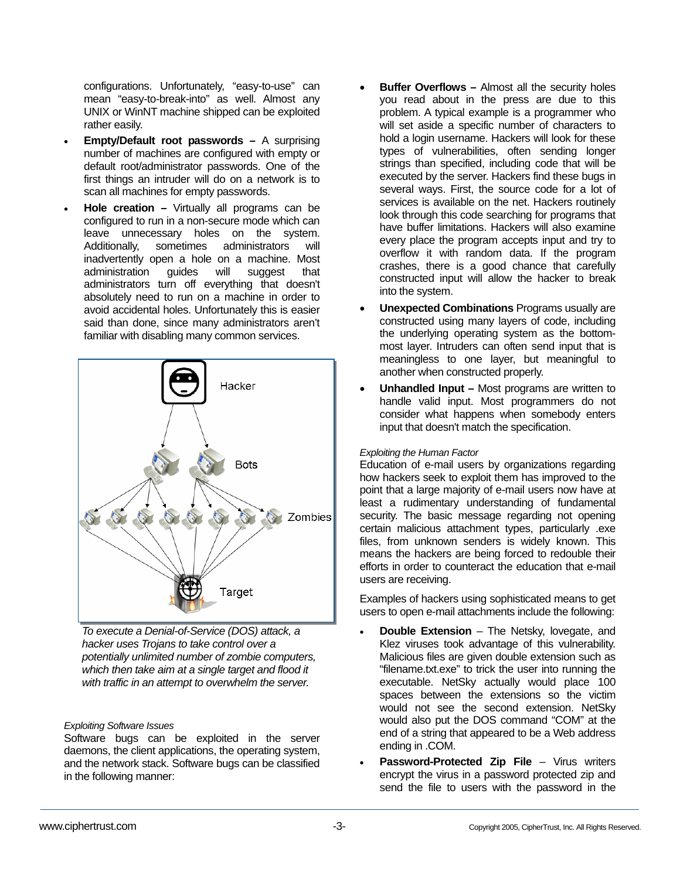configurations. Unfortunately, "easy-to-use" can mean "easy-to-break-into" as well. Almost any UNIX or WinNT machine shipped can be exploited rather easily.

- **Empty/Default root passwords** A surprising number of machines are configured with empty or default root/administrator passwords. One of the first things an intruder will do on a network is to scan all machines for empty passwords.
- **Hole creation** Virtually all programs can be configured to run in a non-secure mode which can leave unnecessary holes on the system. Additionally, sometimes administrators will inadvertently open a hole on a machine. Most administration guides will suggest that administrators turn off everything that doesn't absolutely need to run on a machine in order to avoid accidental holes. Unfortunately this is easier said than done, since many administrators aren't familiar with disabling many common services.



*To execute a Denial-of-Service (DOS) attack, a hacker uses Trojans to take control over a potentially unlimited number of zombie computers, which then take aim at a single target and flood it with traffic in an attempt to overwhelm the server.* 

# *Exploiting Software Issues*

Software bugs can be exploited in the server daemons, the client applications, the operating system, and the network stack. Software bugs can be classified in the following manner:

- **Buffer Overflows Almost all the security holes** you read about in the press are due to this problem. A typical example is a programmer who will set aside a specific number of characters to hold a login username. Hackers will look for these types of vulnerabilities, often sending longer strings than specified, including code that will be executed by the server. Hackers find these bugs in several ways. First, the source code for a lot of services is available on the net. Hackers routinely look through this code searching for programs that have buffer limitations. Hackers will also examine every place the program accepts input and try to overflow it with random data. If the program crashes, there is a good chance that carefully constructed input will allow the hacker to break into the system.
- **Unexpected Combinations** Programs usually are constructed using many layers of code, including the underlying operating system as the bottommost layer. Intruders can often send input that is meaningless to one layer, but meaningful to another when constructed properly.
- **Unhandled Input** Most programs are written to handle valid input. Most programmers do not consider what happens when somebody enters input that doesn't match the specification.

# *Exploiting the Human Factor*

Education of e-mail users by organizations regarding how hackers seek to exploit them has improved to the point that a large majority of e-mail users now have at least a rudimentary understanding of fundamental security. The basic message regarding not opening certain malicious attachment types, particularly .exe files, from unknown senders is widely known. This means the hackers are being forced to redouble their efforts in order to counteract the education that e-mail users are receiving.

Examples of hackers using sophisticated means to get users to open e-mail attachments include the following:

- **Double Extension** The Netsky, lovegate, and Klez viruses took advantage of this vulnerability. Malicious files are given double extension such as "filename.txt.exe" to trick the user into running the executable. NetSky actually would place 100 spaces between the extensions so the victim would not see the second extension. NetSky would also put the DOS command "COM" at the end of a string that appeared to be a Web address ending in .COM.
- **Password-Protected Zip File** Virus writers encrypt the virus in a password protected zip and send the file to users with the password in the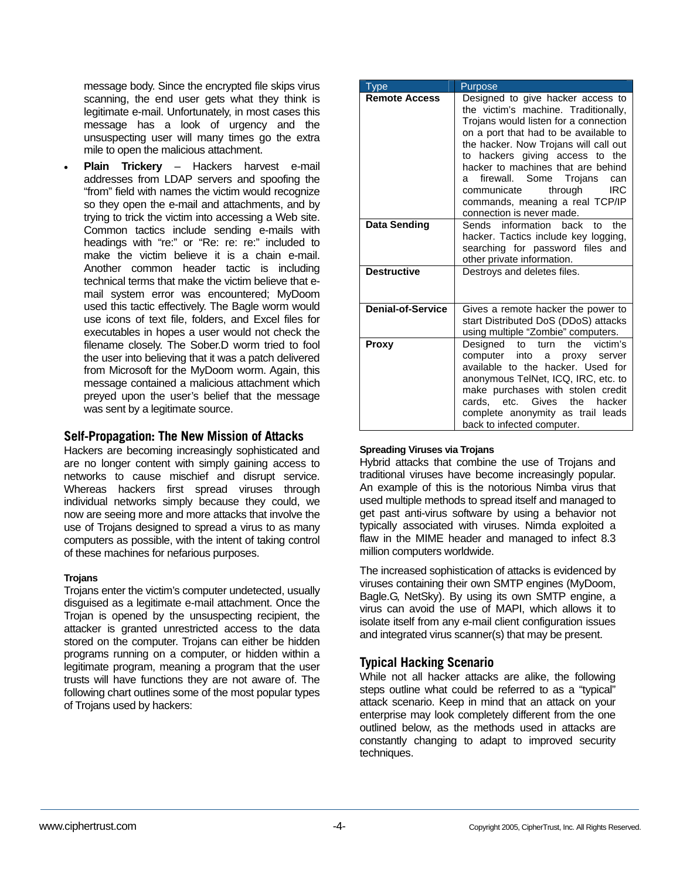message body. Since the encrypted file skips virus scanning, the end user gets what they think is legitimate e-mail. Unfortunately, in most cases this message has a look of urgency and the unsuspecting user will many times go the extra mile to open the malicious attachment.

• **Plain Trickery** – Hackers harvest e-mail addresses from LDAP servers and spoofing the "from" field with names the victim would recognize so they open the e-mail and attachments, and by trying to trick the victim into accessing a Web site. Common tactics include sending e-mails with headings with "re:" or "Re: re: re:" included to make the victim believe it is a chain e-mail. Another common header tactic is including technical terms that make the victim believe that email system error was encountered; MyDoom used this tactic effectively. The Bagle worm would use icons of text file, folders, and Excel files for executables in hopes a user would not check the filename closely. The Sober.D worm tried to fool the user into believing that it was a patch delivered from Microsoft for the MyDoom worm. Again, this message contained a malicious attachment which preyed upon the user's belief that the message was sent by a legitimate source.

# **Self-Propagation: The New Mission of Attacks**

Hackers are becoming increasingly sophisticated and are no longer content with simply gaining access to networks to cause mischief and disrupt service. Whereas hackers first spread viruses through individual networks simply because they could, we now are seeing more and more attacks that involve the use of Trojans designed to spread a virus to as many computers as possible, with the intent of taking control of these machines for nefarious purposes.

# **Trojans**

Trojans enter the victim's computer undetected, usually disguised as a legitimate e-mail attachment. Once the Trojan is opened by the unsuspecting recipient, the attacker is granted unrestricted access to the data stored on the computer. Trojans can either be hidden programs running on a computer, or hidden within a legitimate program, meaning a program that the user trusts will have functions they are not aware of. The following chart outlines some of the most popular types of Trojans used by hackers:

| Type                     | Purpose                                                                                                                                                                                                                                                                                                                                                                                                                        |
|--------------------------|--------------------------------------------------------------------------------------------------------------------------------------------------------------------------------------------------------------------------------------------------------------------------------------------------------------------------------------------------------------------------------------------------------------------------------|
| <b>Remote Access</b>     | Designed to give hacker access to<br>the victim's machine. Traditionally,<br>Trojans would listen for a connection<br>on a port that had to be available to<br>the hacker. Now Trojans will call out<br>to hackers giving access to<br>the<br>hacker to machines that are behind<br>firewall. Some Trojans<br>can<br>a<br><b>IRC</b><br>through<br>communicate<br>commands, meaning a real TCP/IP<br>connection is never made. |
| <b>Data Sending</b>      | Sends information back<br>the<br>t∩<br>hacker. Tactics include key logging,<br>searching for password files and<br>other private information.                                                                                                                                                                                                                                                                                  |
| <b>Destructive</b>       | Destroys and deletes files.                                                                                                                                                                                                                                                                                                                                                                                                    |
| <b>Denial-of-Service</b> | Gives a remote hacker the power to<br>start Distributed DoS (DDoS) attacks<br>using multiple "Zombie" computers.                                                                                                                                                                                                                                                                                                               |
| Proxy                    | Designed<br>victim's<br>the<br>to<br>turn<br>computer into<br>proxy server<br>a i<br>available to the hacker. Used for<br>anonymous TelNet, ICQ, IRC, etc. to<br>make purchases with stolen credit<br>cards, etc. Gives the hacker<br>complete anonymity as trail leads<br>back to infected computer.                                                                                                                          |

# **Spreading Viruses via Trojans**

Hybrid attacks that combine the use of Trojans and traditional viruses have become increasingly popular. An example of this is the notorious Nimba virus that used multiple methods to spread itself and managed to get past anti-virus software by using a behavior not typically associated with viruses. Nimda exploited a flaw in the MIME header and managed to infect 8.3 million computers worldwide.

The increased sophistication of attacks is evidenced by viruses containing their own SMTP engines (MyDoom, Bagle.G, NetSky). By using its own SMTP engine, a virus can avoid the use of MAPI, which allows it to isolate itself from any e-mail client configuration issues and integrated virus scanner(s) that may be present.

# **Typical Hacking Scenario**

While not all hacker attacks are alike, the following steps outline what could be referred to as a "typical" attack scenario. Keep in mind that an attack on your enterprise may look completely different from the one outlined below, as the methods used in attacks are constantly changing to adapt to improved security techniques.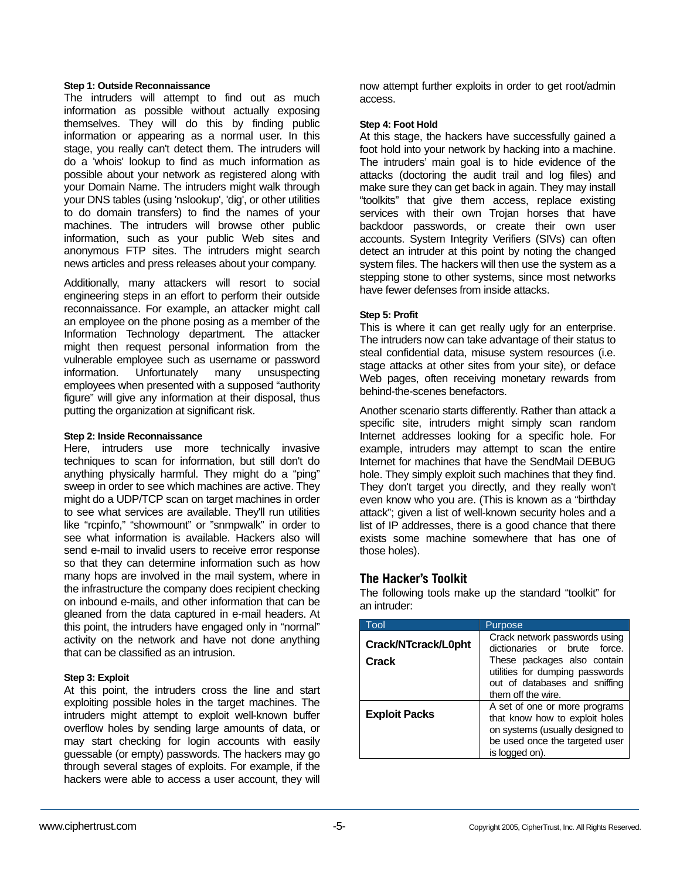#### **Step 1: Outside Reconnaissance**

The intruders will attempt to find out as much information as possible without actually exposing themselves. They will do this by finding public information or appearing as a normal user. In this stage, you really can't detect them. The intruders will do a 'whois' lookup to find as much information as possible about your network as registered along with your Domain Name. The intruders might walk through your DNS tables (using 'nslookup', 'dig', or other utilities to do domain transfers) to find the names of your machines. The intruders will browse other public information, such as your public Web sites and anonymous FTP sites. The intruders might search news articles and press releases about your company.

Additionally, many attackers will resort to social engineering steps in an effort to perform their outside reconnaissance. For example, an attacker might call an employee on the phone posing as a member of the Information Technology department. The attacker might then request personal information from the vulnerable employee such as username or password information. Unfortunately many unsuspecting employees when presented with a supposed "authority figure" will give any information at their disposal, thus putting the organization at significant risk.

# **Step 2: Inside Reconnaissance**

Here, intruders use more technically invasive techniques to scan for information, but still don't do anything physically harmful. They might do a "ping" sweep in order to see which machines are active. They might do a UDP/TCP scan on target machines in order to see what services are available. They'll run utilities like "rcpinfo," "showmount" or "snmpwalk" in order to see what information is available. Hackers also will send e-mail to invalid users to receive error response so that they can determine information such as how many hops are involved in the mail system, where in the infrastructure the company does recipient checking on inbound e-mails, and other information that can be gleaned from the data captured in e-mail headers. At this point, the intruders have engaged only in "normal" activity on the network and have not done anything that can be classified as an intrusion.

# **Step 3: Exploit**

At this point, the intruders cross the line and start exploiting possible holes in the target machines. The intruders might attempt to exploit well-known buffer overflow holes by sending large amounts of data, or may start checking for login accounts with easily guessable (or empty) passwords. The hackers may go through several stages of exploits. For example, if the hackers were able to access a user account, they will

now attempt further exploits in order to get root/admin access.

#### **Step 4: Foot Hold**

At this stage, the hackers have successfully gained a foot hold into your network by hacking into a machine. The intruders' main goal is to hide evidence of the attacks (doctoring the audit trail and log files) and make sure they can get back in again. They may install "toolkits" that give them access, replace existing services with their own Trojan horses that have backdoor passwords, or create their own user accounts. System Integrity Verifiers (SIVs) can often detect an intruder at this point by noting the changed system files. The hackers will then use the system as a stepping stone to other systems, since most networks have fewer defenses from inside attacks.

# **Step 5: Profit**

This is where it can get really ugly for an enterprise. The intruders now can take advantage of their status to steal confidential data, misuse system resources (i.e. stage attacks at other sites from your site), or deface Web pages, often receiving monetary rewards from behind-the-scenes benefactors.

Another scenario starts differently. Rather than attack a specific site, intruders might simply scan random Internet addresses looking for a specific hole. For example, intruders may attempt to scan the entire Internet for machines that have the SendMail DEBUG hole. They simply exploit such machines that they find. They don't target you directly, and they really won't even know who you are. (This is known as a "birthday attack"; given a list of well-known security holes and a list of IP addresses, there is a good chance that there exists some machine somewhere that has one of those holes).

# **The Hacker's Toolkit**

The following tools make up the standard "toolkit" for an intruder:

| Tool                         | Purpose                                                                                                                                                                                |
|------------------------------|----------------------------------------------------------------------------------------------------------------------------------------------------------------------------------------|
| Crack/NTcrack/L0pht<br>Crack | Crack network passwords using<br>dictionaries or brute force.<br>These packages also contain<br>utilities for dumping passwords<br>out of databases and sniffing<br>them off the wire. |
| <b>Exploit Packs</b>         | A set of one or more programs<br>that know how to exploit holes<br>on systems (usually designed to<br>be used once the targeted user<br>is logged on).                                 |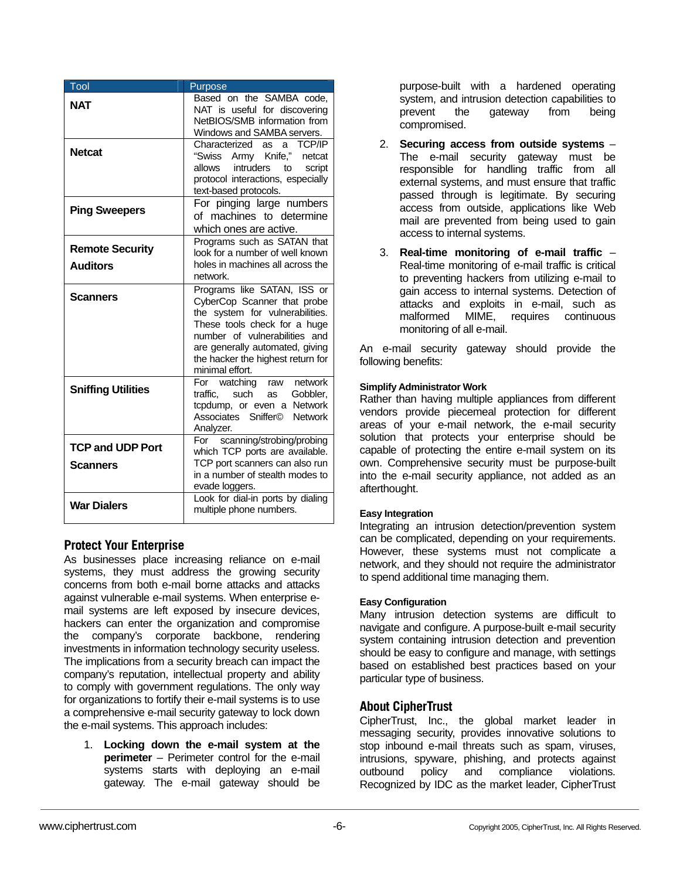| Tool                                       | Purpose                                                                                                                                                                                                                                                   |
|--------------------------------------------|-----------------------------------------------------------------------------------------------------------------------------------------------------------------------------------------------------------------------------------------------------------|
| <b>NAT</b>                                 | Based on the SAMBA code,<br>NAT is useful for discovering<br>NetBIOS/SMB information from<br>Windows and SAMBA servers.                                                                                                                                   |
| <b>Netcat</b>                              | Characterized as<br>TCP/IP<br>a<br>"Swiss Army Knife,"<br>netcat<br>allows intruders<br>script<br>to<br>protocol interactions, especially<br>text-based protocols.                                                                                        |
| <b>Ping Sweepers</b>                       | For pinging large numbers<br>of machines to determine<br>which ones are active.                                                                                                                                                                           |
| <b>Remote Security</b>                     | Programs such as SATAN that<br>look for a number of well known                                                                                                                                                                                            |
| <b>Auditors</b>                            | holes in machines all across the<br>network.                                                                                                                                                                                                              |
| <b>Scanners</b>                            | Programs like SATAN, ISS or<br>CyberCop Scanner that probe<br>the system for vulnerabilities.<br>These tools check for a huge<br>number of vulnerabilities and<br>are generally automated, giving<br>the hacker the highest return for<br>minimal effort. |
| <b>Sniffing Utilities</b>                  | For watching raw<br>network<br>traffic. such<br>Gobbler,<br>as<br>tcpdump, or even a Network<br>Associates Sniffer©<br><b>Network</b><br>Analyzer.                                                                                                        |
| <b>TCP and UDP Port</b><br><b>Scanners</b> | scanning/strobing/probing<br>For<br>which TCP ports are available.<br>TCP port scanners can also run<br>in a number of stealth modes to<br>evade loggers.                                                                                                 |
| <b>War Dialers</b>                         | Look for dial-in ports by dialing<br>multiple phone numbers.                                                                                                                                                                                              |

# **Protect Your Enterprise**

As businesses place increasing reliance on e-mail systems, they must address the growing security concerns from both e-mail borne attacks and attacks against vulnerable e-mail systems. When enterprise email systems are left exposed by insecure devices, hackers can enter the organization and compromise the company's corporate backbone, rendering investments in information technology security useless. The implications from a security breach can impact the company's reputation, intellectual property and ability to comply with government regulations. The only way for organizations to fortify their e-mail systems is to use a comprehensive e-mail security gateway to lock down the e-mail systems. This approach includes:

1. **Locking down the e-mail system at the perimeter** – Perimeter control for the e-mail systems starts with deploying an e-mail gateway. The e-mail gateway should be

purpose-built with a hardened operating system, and intrusion detection capabilities to prevent the gateway from being compromised.

- 2. **Securing access from outside systems** The e-mail security gateway must be responsible for handling traffic from all external systems, and must ensure that traffic passed through is legitimate. By securing access from outside, applications like Web mail are prevented from being used to gain access to internal systems.
- 3. **Real-time monitoring of e-mail traffic** Real-time monitoring of e-mail traffic is critical to preventing hackers from utilizing e-mail to gain access to internal systems. Detection of attacks and exploits in e-mail, such as malformed MIME, requires continuous monitoring of all e-mail.

An e-mail security gateway should provide the following benefits:

# **Simplify Administrator Work**

Rather than having multiple appliances from different vendors provide piecemeal protection for different areas of your e-mail network, the e-mail security solution that protects your enterprise should be capable of protecting the entire e-mail system on its own. Comprehensive security must be purpose-built into the e-mail security appliance, not added as an afterthought.

# **Easy Integration**

Integrating an intrusion detection/prevention system can be complicated, depending on your requirements. However, these systems must not complicate a network, and they should not require the administrator to spend additional time managing them.

# **Easy Configuration**

Many intrusion detection systems are difficult to navigate and configure. A purpose-built e-mail security system containing intrusion detection and prevention should be easy to configure and manage, with settings based on established best practices based on your particular type of business.

# **About CipherTrust**

CipherTrust, Inc., the global market leader in messaging security, provides innovative solutions to stop inbound e-mail threats such as spam, viruses, intrusions, spyware, phishing, and protects against outbound policy and compliance violations. Recognized by IDC as the market leader, CipherTrust